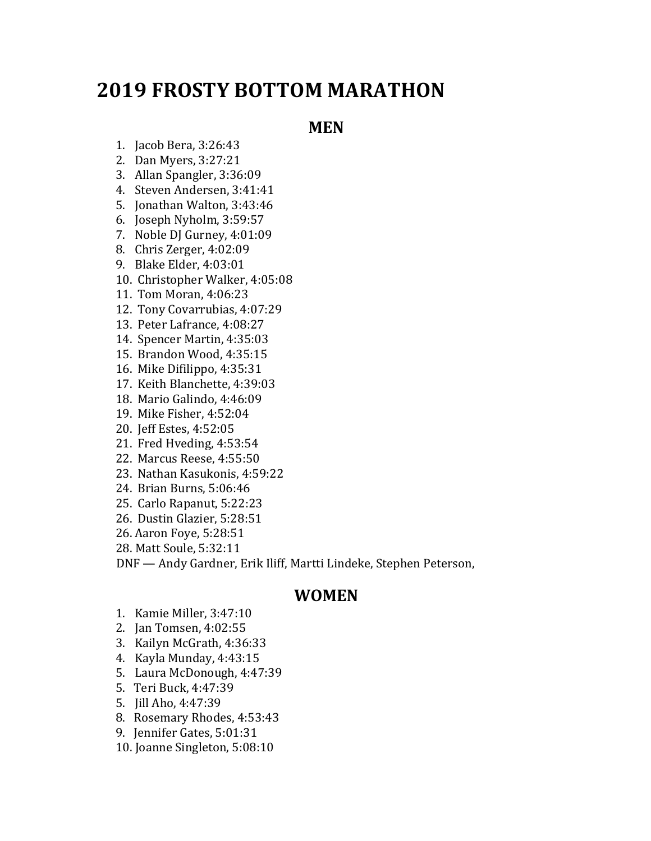## **2019 FROSTY BOTTOM MARATHON**

## **MEN**

- 1. Jacob Bera, 3:26:43
- 2. Dan Myers, 3:27:21
- 3. Allan Spangler, 3:36:09
- 4. Steven Andersen, 3:41:41
- 5. Jonathan Walton, 3:43:46
- 6. Joseph Nyholm, 3:59:57
- 7. Noble DJ Gurney, 4:01:09
- 8. Chris Zerger, 4:02:09
- 9. Blake Elder, 4:03:01
- 10. Christopher Walker, 4:05:08
- 11. Tom Moran, 4:06:23
- 12. Tony Covarrubias, 4:07:29
- 13. Peter Lafrance, 4:08:27
- 14. Spencer Martin, 4:35:03
- 15. Brandon Wood, 4:35:15
- 16. Mike Difilippo, 4:35:31
- 17. Keith Blanchette, 4:39:03
- 18. Mario Galindo, 4:46:09
- 19. Mike Fisher, 4:52:04
- 20. Jeff Estes, 4:52:05
- 21. Fred Hveding, 4:53:54
- 22. Marcus Reese, 4:55:50
- 23. Nathan Kasukonis, 4:59:22
- 24. Brian Burns, 5:06:46
- 25. Carlo Rapanut, 5:22:23
- 26. Dustin Glazier, 5:28:51
- 26. Aaron Foye, 5:28:51
- 28. Matt Soule, 5:32:11

DNF - Andy Gardner, Erik Iliff, Martti Lindeke, Stephen Peterson,

## **WOMEN**

- 1. Kamie Miller, 3:47:10
- 2. Jan Tomsen, 4:02:55
- 3. Kailyn McGrath, 4:36:33
- 4. Kayla Munday, 4:43:15
- 5. Laura McDonough, 4:47:39
- 5. Teri Buck, 4:47:39
- 5. Jill Aho, 4:47:39
- 8. Rosemary Rhodes, 4:53:43
- 9. Jennifer Gates, 5:01:31
- 10. Joanne Singleton, 5:08:10